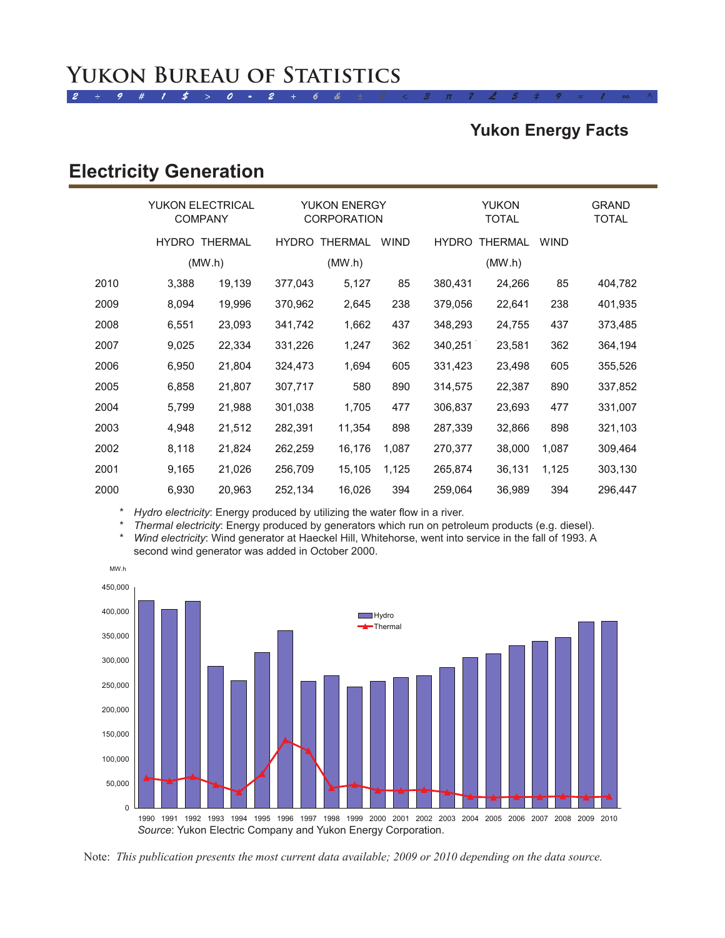### *2 ÷ 9 # 1 \$ > 0 - 2 + 6 & ± 8 < 3 π 7 £ 5 ‡ 9 ≈ 1 ∞ ^* YUKON BUREAU OF STATISTICS

### **Yukon Energy Facts**

## **Electricity Generation**

|      | <b>YUKON ELECTRICAL</b><br><b>COMPANY</b> |                      | <b>YUKON ENERGY</b><br><b>CORPORATION</b> |                |             | <b>YUKON</b><br><b>TOTAL</b> |                |             | <b>GRAND</b><br>TOTAL |
|------|-------------------------------------------|----------------------|-------------------------------------------|----------------|-------------|------------------------------|----------------|-------------|-----------------------|
|      |                                           | <b>HYDRO THERMAL</b> | <b>HYDRO</b>                              | <b>THERMAL</b> | <b>WIND</b> | <b>HYDRO</b>                 | <b>THERMAL</b> | <b>WIND</b> |                       |
|      | (MW.h)                                    |                      | (MW.h)                                    |                | (MW.h)      |                              |                |             |                       |
| 2010 | 3,388                                     | 19,139               | 377,043                                   | 5,127          | 85          | 380,431                      | 24,266         | 85          | 404,782               |
| 2009 | 8,094                                     | 19,996               | 370,962                                   | 2,645          | 238         | 379,056                      | 22,641         | 238         | 401,935               |
| 2008 | 6,551                                     | 23,093               | 341,742                                   | 1,662          | 437         | 348,293                      | 24,755         | 437         | 373,485               |
| 2007 | 9,025                                     | 22,334               | 331,226                                   | 1,247          | 362         | 340,251                      | 23,581         | 362         | 364,194               |
| 2006 | 6,950                                     | 21,804               | 324,473                                   | 1,694          | 605         | 331,423                      | 23,498         | 605         | 355,526               |
| 2005 | 6,858                                     | 21,807               | 307,717                                   | 580            | 890         | 314,575                      | 22,387         | 890         | 337,852               |
| 2004 | 5,799                                     | 21,988               | 301,038                                   | 1,705          | 477         | 306,837                      | 23,693         | 477         | 331,007               |
| 2003 | 4,948                                     | 21,512               | 282,391                                   | 11,354         | 898         | 287,339                      | 32,866         | 898         | 321,103               |
| 2002 | 8,118                                     | 21,824               | 262,259                                   | 16,176         | 1,087       | 270,377                      | 38,000         | 1,087       | 309,464               |
| 2001 | 9,165                                     | 21,026               | 256,709                                   | 15,105         | 1,125       | 265,874                      | 36,131         | 1,125       | 303,130               |
| 2000 | 6,930                                     | 20,963               | 252,134                                   | 16,026         | 394         | 259,064                      | 36,989         | 394         | 296,447               |

\* *Hydro electricity*: Energy produced by utilizing the water flow in a river.

\* *Thermal electricity*: Energy produced by generators which run on petroleum products (e.g. diesel). Wind electricity: Wind generator at Haeckel Hill, Whitehorse, went into service in the fall of 1993. A second wind generator was added in October 2000.



Note: *This publication presents the most current data available; 2009 or 2010 depending on the data source.*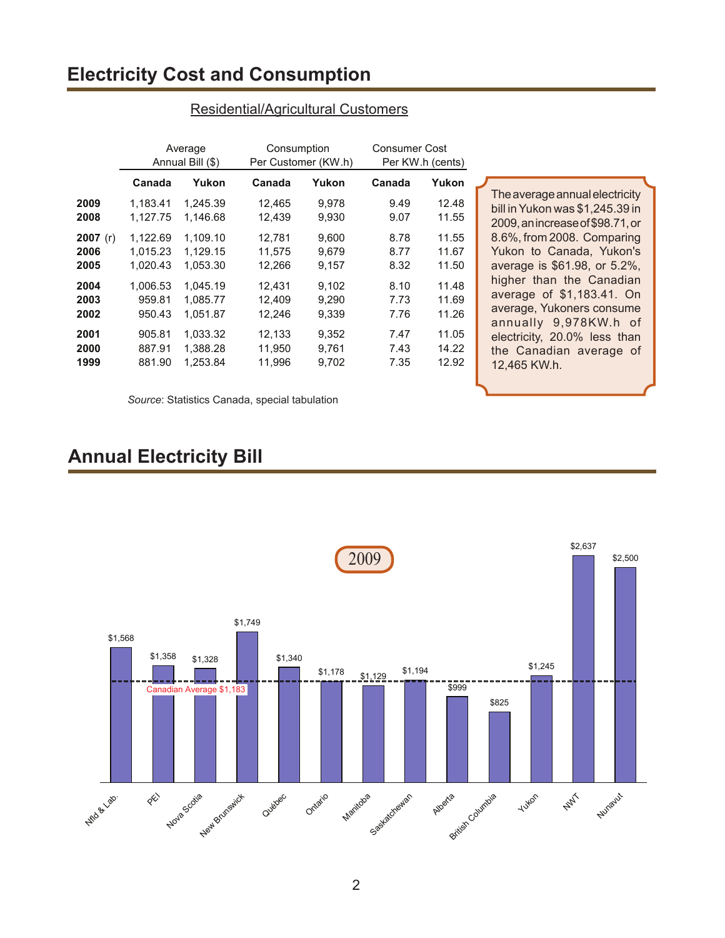## **Electricity Cost and Consumption**

|            | Average          |          | Consumption         |       | <b>Consumer Cost</b> |       |
|------------|------------------|----------|---------------------|-------|----------------------|-------|
|            | Annual Bill (\$) |          | Per Customer (KW.h) |       | Per KW.h (cents)     |       |
|            | Canada           | Yukon    | Canada              | Yukon | Canada               | Yukon |
| 2009       | 1,183.41         | 1,245.39 | 12,465              | 9,978 | 9.49                 | 12.48 |
| 2008       | 1.127.75         | 1,146.68 | 12,439              | 9,930 | 9.07                 | 11.55 |
| 2007 $(r)$ | 1,122.69         | 1.109.10 | 12,781              | 9,600 | 8.78                 | 11.55 |
| 2006       | 1.015.23         | 1.129.15 | 11,575              | 9.679 | 8.77                 | 11.67 |
| 2005       | 1.020.43         | 1.053.30 | 12,266              | 9,157 | 8.32                 | 11.50 |
| 2004       | 1.006.53         | 1.045.19 | 12,431              | 9,102 | 8.10                 | 11.48 |
| 2003       | 959.81           | 1.085.77 | 12,409              | 9,290 | 7.73                 | 11.69 |
| 2002       | 950.43           | 1.051.87 | 12,246              | 9.339 | 7.76                 | 11.26 |
| 2001       | 905.81           | 1.033.32 | 12,133              | 9,352 | 7.47                 | 11.05 |
| 2000       | 887.91           | 1,388.28 | 11,950              | 9,761 | 7.43                 | 14.22 |
| 1999       | 881.90           | 1,253.84 | 11,996              | 9,702 | 7.35                 | 12.92 |

#### Residential/Agricultural Customers

The average annual electricity bill inYukon was \$1,245.39 in 2009,anincreaseof\$98.71,or 8.6%, from 2008. Comparing Yukon to Canada, Yukon's average is \$61.98, or 5.2%, higher than the Canadian average of \$1,183.41. On average, Yukoners consume annually 9,978KW.h of electricity, 20.0% less than the Canadian average of 12,465 KW.h.

*Source*: Statistics Canada, special tabulation

## **Annual Electricity Bill**

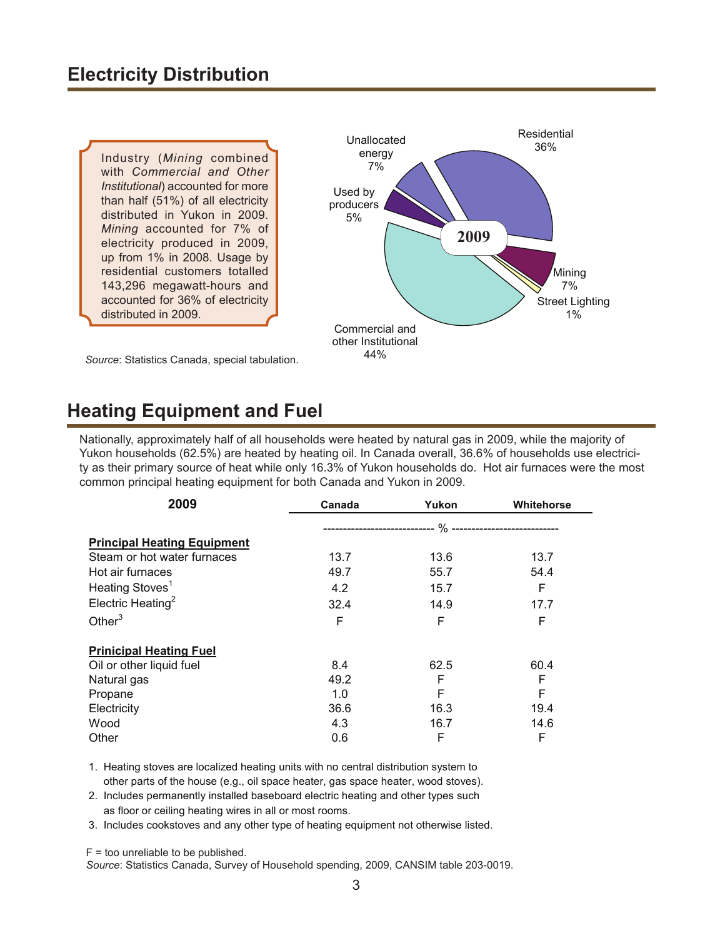Industry (*Mining* combined with *Commercial and Other Institutional*) accounted for more than half (51%) of all electricity distributed in Yukon in 2009. *Mining* accounted for 7% of electricity produced in 2009, up from 1% in 2008. Usage by residential customers totalled 143,296 megawatt-hours and accounted for 36% of electricity distributed in 2009.



*Source*: Statistics Canada, special tabulation.

# **Heating Equipment and Fuel**

Nationally, approximately half of all households were heated by natural gas in 2009, while the majority of Yukon households (62.5%) are heated by heating oil. In Canada overall, 36.6% of households use electricity as their primary source of heat while only 16.3% of Yukon households do. Hot air furnaces were the most common principal heating equipment for both Canada and Yukon in 2009.

| 2009                               | Canada | Yukon | Whitehorse |
|------------------------------------|--------|-------|------------|
|                                    |        |       |            |
| <b>Principal Heating Equipment</b> |        |       |            |
| Steam or hot water furnaces        | 13.7   | 13.6  | 13.7       |
| Hot air furnaces                   | 49.7   | 55.7  | 54.4       |
| Heating Stoves <sup>1</sup>        | 4.2    | 15.7  | F          |
| Electric Heating <sup>2</sup>      | 32.4   | 14.9  | 17.7       |
| Other $3$                          | F      | F     | F          |
| <b>Prinicipal Heating Fuel</b>     |        |       |            |
| Oil or other liquid fuel           | 8.4    | 62.5  | 60.4       |
| Natural gas                        | 49.2   | F     | F          |
| Propane                            | 1.0    | F     | F          |
| Electricity                        | 36.6   | 16.3  | 19.4       |
| Wood                               | 4.3    | 16.7  | 14.6       |
| Other                              | 0.6    | F     | F          |

1. Heating stoves are localized heating units with no central distribution system to other parts of the house (e.g., oil space heater, gas space heater, wood stoves).

2. Includes permanently installed baseboard electric heating and other types such as floor or ceiling heating wires in all or most rooms.

3. Includes cookstoves and any other type of heating equipment not otherwise listed.

 $F =$  too unreliable to be published.

*Source*: Statistics Canada, Survey of Household spending, 2009, CANSIM table 203-0019.